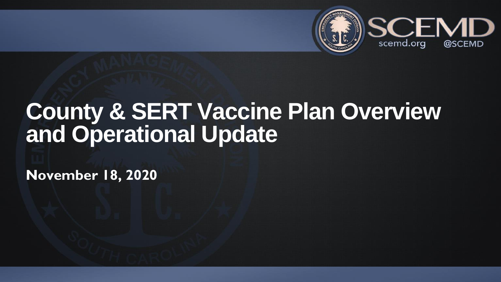## **County & SERT Vaccine Plan Overview and Operational Update**

**November 18, 2020**





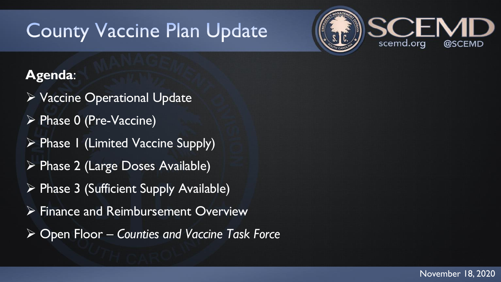## **County Vaccine Plan Update**

### **Agenda**:

**EXACCINE Operational Update**  Phase 0 (Pre-Vaccine) Phase 1 (Limited Vaccine Supply) Phase 2 (Large Doses Available) Phase 3 (Sufficient Supply Available) Finance and Reimbursement Overview Open Floor – *Counties and Vaccine Task Force*







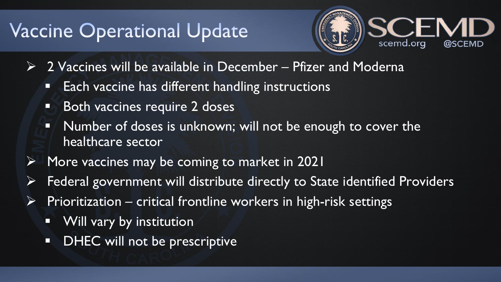## Vaccine Operational Update

- $\triangleright$  2 Vaccines will be available in December Pfizer and Moderna **Each vaccine has different handling instructions** 
	-
	- **Both vaccines require 2 doses**
	- **Number of doses is unknown; will not be enough to cover the** healthcare sector
	- Prioritization critical frontline workers in high-risk settings
- More vaccines may be coming to market in 2021 Federal government will distribute directly to State identified Providers
- - **The Will vary by institution**
	- **DHEC will not be prescriptive**



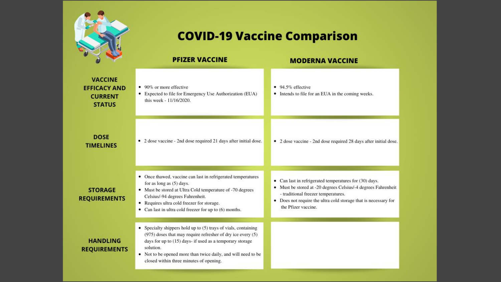

### **COVID-19 Vaccine Comparison**

### **PFIZER VACCINE**

**VACCINE EFFICACY AND CURRENT STATUS** 

- 90% or more effective
- Expected to file for Emergency Use Authoriza this week - 11/16/2020.

### **DOSE TIMELINES**

• 2 dose vaccine - 2nd dose required 21 days aft

### **STORAGE REQUIREMENTS**

### **HANDLING REQUIREMENTS**

- Once thawed, vaccine can last in refrigerated for as long as (5) days.
- Must be stored at Ultra Cold temperature of -7 Celsius/-94 degrees Fahrenheit.
- Requires ultra cold freezer for storage.
- Can last in ultra cold freezer for up to (6) mon
- Specialty shippers hold up to (5) trays of vials (975) doses that may require refresher of dry days for up to (15) days- if used as a temporal solution.
- Not to be opened more than twice daily, and v closed within three minutes of opening.

### **MODERNA VACCINE**

| ation (EUA)                                                       | 94.5% effective<br>Intends to file for an EUA in the coming weeks.                                                                                                                                                                                 |
|-------------------------------------------------------------------|----------------------------------------------------------------------------------------------------------------------------------------------------------------------------------------------------------------------------------------------------|
| ter initial dose.                                                 | 2 dose vaccine - 2nd dose required 28 days after initial dose.                                                                                                                                                                                     |
| temperatures<br>70 degrees<br>aths.                               | Can last in refrigerated temperatures for (30) days.<br>Must be stored at -20 degrees Celsius/-4 degrees Fahrenheit<br>- traditional freezer temperatures.<br>Does not require the ultra cold storage that is necessary for<br>the Pfizer vaccine. |
| s, containing<br>ice every $(5)$<br>ry storage<br>will need to be |                                                                                                                                                                                                                                                    |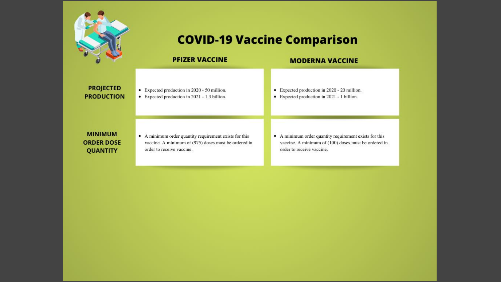

### **PFIZER VACCINE**

### **PROJECTED PRODUCTION**

- Expected production in 2020 50 million.
- Expected production in 2021 1.3 billion.

### **MINIMUM ORDER DOSE QUANTITY**

• A minimum order quantity requirement exists for this vaccine. A minimum of (975) doses must be ordered in order to receive vaccine.

### **COVID-19 Vaccine Comparison**

### **MODERNA VACCINE**

- Expected production in 2020 20 million.
- Expected production in 2021 1 billion.

• A minimum order quantity requirement exists for this vaccine. A minimum of (100) doses must be ordered in order to receive vaccine.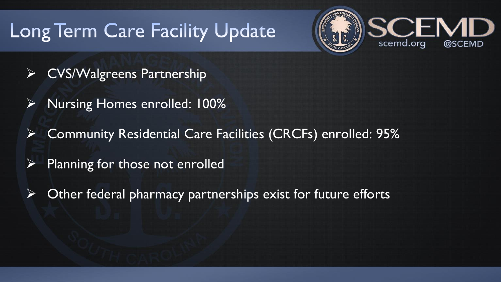## Long Term Care Facility Update

 CVS/Walgreens Partnership Nursing Homes enrolled: 100% Community Residential Care Facilities (CRCFs) enrolled: 95%  $\triangleright$  Planning for those not enrolled Other federal pharmacy partnerships exist for future efforts







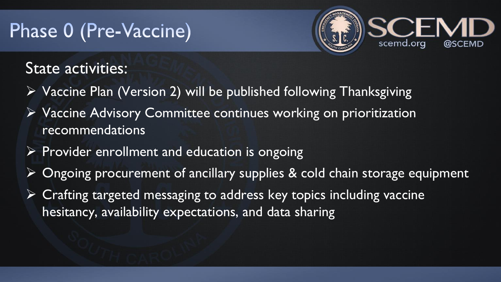## Phase 0 (Pre-Vaccine)

### State activities:

- $\triangleright$  Vaccine Plan (Version 2) will be published following Thanksgiving  $\triangleright$  Vaccine Advisory Committee continues working on prioritization
- recommendations
- $\triangleright$  Provider enrollment and education is ongoing
- $\triangleright$  Ongoing procurement of ancillary supplies & cold chain storage equipment
- $\triangleright$  Crafting targeted messaging to address key topics including vaccine hesitancy, availability expectations, and data sharing



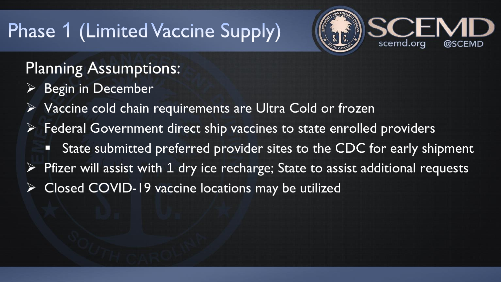## Phase 1 (Limited Vaccine Supply)

Planning Assumptions: Begin in December Vaccine cold chain requirements are Ultra Cold or frozen Federal Government direct ship vaccines to state enrolled providers State submitted preferred provider sites to the CDC for early shipment Pfizer will assist with 1 dry ice recharge; State to assist additional requests Closed COVID-19 vaccine locations may be utilized







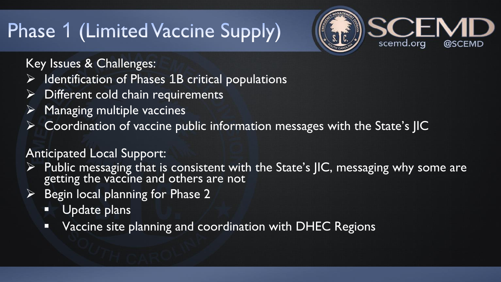## Phase 1 (Limited Vaccine Supply)

Key Issues & Challenges:  $\triangleright$  Identification of Phases 1B critical populations  $\triangleright$  Different cold chain requirements Managing multiple vaccines Coordination of vaccine public information messages with the State's JIC

Anticipated Local Support:

- getting the vaccine and others are not
- Begin local planning for Phase 2
	- **Update plans**
	- Vaccine site planning and coordination with DHEC Regions







 $\triangleright$  Public messaging that is consistent with the State's JIC, messaging why some are

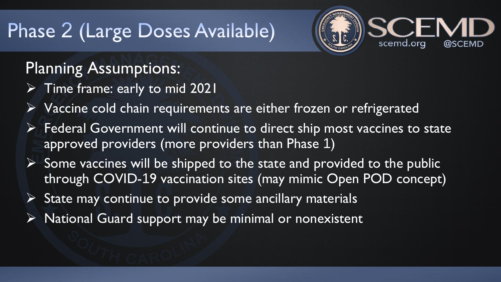- 
- $\triangleright$  Federal Government will continue to direct ship most vaccines to state
	- through COVID-19 vaccination sites (may mimic Open POD concept)
		-
		-



## Phase 2 (Large Doses Available)

Planning Assumptions: Time frame: early to mid 2021 Vaccine cold chain requirements are either frozen or refrigerated approved providers (more providers than Phase 1)  $\triangleright$  Some vaccines will be shipped to the state and provided to the public  $\triangleright$  State may continue to provide some ancillary materials National Guard support may be minimal or nonexistent





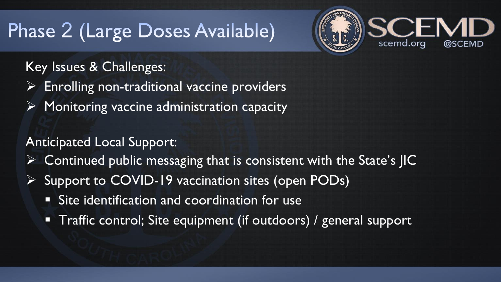## Phase 2 (Large Doses Available)

Key Issues & Challenges:

- $\triangleright$  Enrolling non-traditional vaccine providers
- $\triangleright$  Monitoring vaccine administration capacity

- Continued public messaging that is consistent with the State's JIC
	- Support to COVID-19 vaccination sites (open PODs)
		- **Site identification and coordination for use**
		- **Traffic control; Site equipment (if outdoors) / general support**









Anticipated Local Support: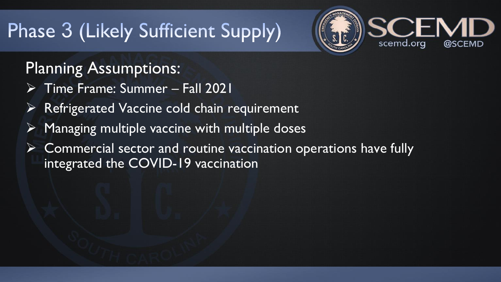## Phase 3 (Likely Sufficient Supply)

Planning Assumptions: Time Frame: Summer – Fall 2021 Refrigerated Vaccine cold chain requirement Managing multiple vaccine with multiple doses  $\triangleright$  Commercial sector and routine vaccination operations have fully integrated the COVID-19 vaccination







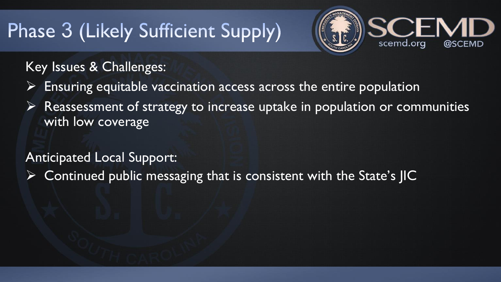## Phase 3 (Likely Sufficient Supply)

Key Issues & Challenges:

- Ensuring equitable vaccination access across the entire population
- with low coverage

Anticipated Local Support: Continued public messaging that is consistent with the State's JIC



# $\triangleright$  Reassessment of strategy to increase uptake in population or communities

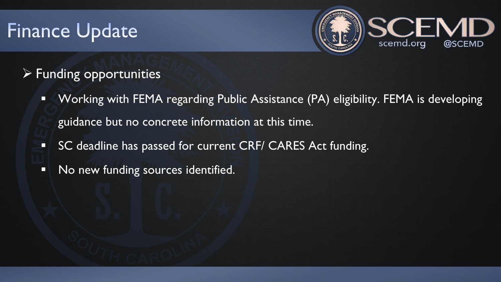### **Finance Update**

- Funding opportunities
	- **Working with FEMA regarding Public Assistance (PA) eligibility. FEMA is developing** guidance but no concrete information at this time.
	- SC deadline has passed for current CRF/ CARES Act funding.
	- **No new funding sources identified.**